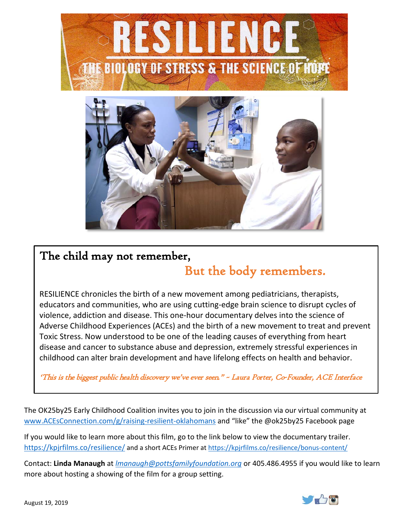



## The child may not remember, But the body remembers.

RESILIENCE chronicles the birth of a new movement among pediatricians, therapists, educators and communities, who are using cutting-edge brain science to disrupt cycles of violence, addiction and disease. This one-hour documentary delves into the science of Adverse Childhood Experiences (ACEs) and the birth of a new movement to treat and prevent Toxic Stress. Now understood to be one of the leading causes of everything from heart disease and cancer to substance abuse and depression, extremely stressful experiences in childhood can alter brain development and have lifelong effects on health and behavior.

'This is the biggest public health discovery we've ever seen." ~ Laura Porter, Co-Founder, ACE Interface

The OK25by25 Early Childhood Coalition invites you to join in the discussion via our virtual community at [www.ACEsConnection.com/g/raising-resilient-oklahomans](http://www.acesconnection.com/g/raising-resilient-oklahomans) and "like" the @ok25by25 Facebook page

If you would like to learn more about this film, go to the link below to view the documentary trailer. <https://kpjrfilms.co/resilience/> and a short ACEs Primer at<https://kpjrfilms.co/resilience/bonus-content/>

Contact: **Linda Manaugh** at *[lmanaugh@pottsfamilyfoundation.org](mailto:lmanaugh@pottsfamilyfoundation.org)* or 405.486.4955 if you would like to learn more about hosting a showing of the film for a group setting.